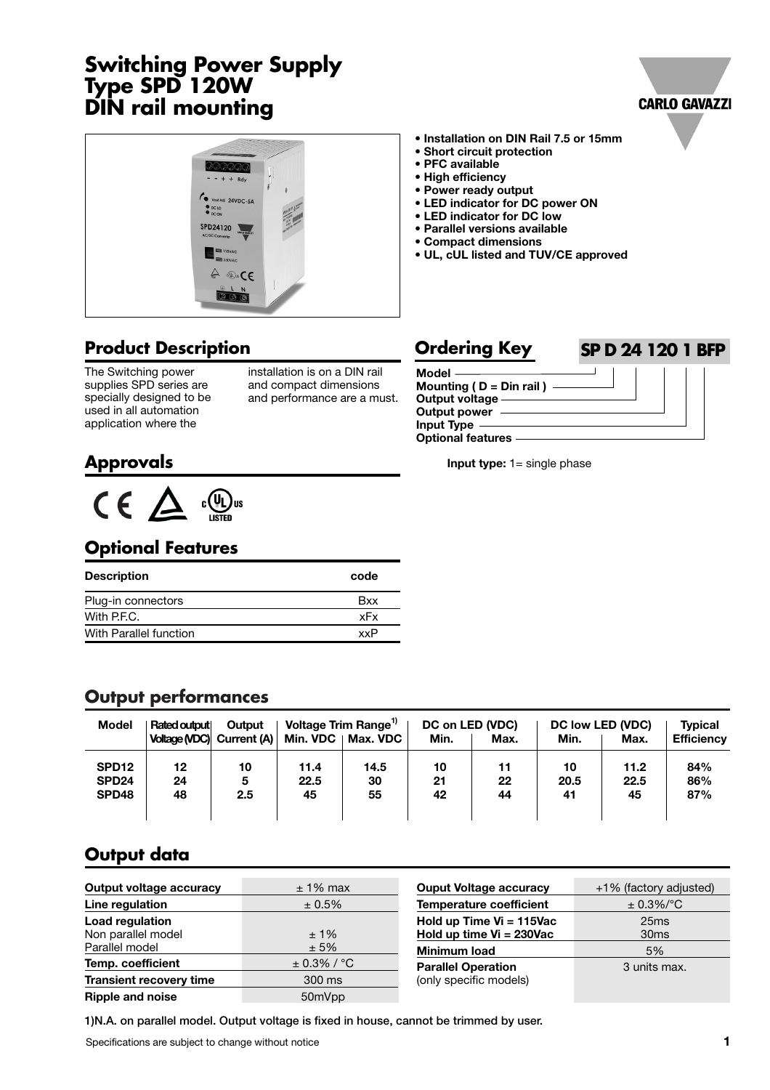## **Switching Power Supply Type SPD 120W DIN rail mounting**





#### **Product Description**

The Switching power supplies SPD series are specially designed to be used in all automation application where the

installation is on a DIN rail and compact dimensions and performance are a must.

#### **• Installation on DIN Rail 7.5 or 15mm • Short circuit protection**

- **PFC available**
- **High efficiency**
- **Power ready output**
- **LED indicator for DC power ON**
- **LED indicator for DC low**
- **Parallel versions available**
- **Compact dimensions**
- **UL, cUL listed and TUV/CE approved**

#### **Ordering Key SP D 24 120 1 BFP**



**Input type:** 1= single phase

### **Approvals**



#### **Optional Features**

| <b>Description</b>     | code |
|------------------------|------|
| Plug-in connectors     | Bxx  |
| With P.F.C.            | xFx  |
| With Parallel function | хxР  |

#### **Output performances**

| Model             | Rated output | Output                    |      | Voltage Trim Range <sup>1)</sup> |      | DC on LED (VDC) |      | DC low LED (VDC) | <b>Typical</b>    |
|-------------------|--------------|---------------------------|------|----------------------------------|------|-----------------|------|------------------|-------------------|
|                   |              | Voltage (VDC) Current (A) |      | Min. VDC   Max. VDC              | Min. | Max.            | Min. | Max.             | <b>Efficiency</b> |
| SPD <sub>12</sub> | 12           | 10                        | 11.4 | 14.5                             | 10   | 11              | 10   | 11.2             | 84%               |
| SPD <sub>24</sub> | 24           | 5                         | 22.5 | 30                               | 21   | 22              | 20.5 | 22.5             | 86%               |
| SPD48             | 48           | 2.5                       | 45   | 55                               | 42   | 44              | 41   | 45               | 87%               |
|                   |              |                           |      |                                  |      |                 |      |                  |                   |

### **Output data**

| Output voltage accuracy                                        | $± 1\%$ max     |  |
|----------------------------------------------------------------|-----------------|--|
| Line regulation                                                | ± 0.5%          |  |
| <b>Load regulation</b><br>Non parallel model<br>Parallel model | $±1\%$<br>± 5%  |  |
| Temp. coefficient                                              | $\pm$ 0.3% / °C |  |
| <b>Transient recovery time</b>                                 | 300 ms          |  |
| <b>Ripple and noise</b>                                        | 50mVpp          |  |

| <b>Ouput Voltage accuracy</b>                        | +1% (factory adjusted)   |
|------------------------------------------------------|--------------------------|
| <b>Temperature coefficient</b>                       | $± 0.3\%/°C$             |
| Hold up Time Vi = 115Vac<br>Hold up time Vi = 230Vac | 25ms<br>30 <sub>ms</sub> |
| <b>Minimum load</b>                                  | 5%                       |
| <b>Parallel Operation</b><br>(only specific models)  | 3 units max.             |

**1)N.A. on parallel model. Output voltage is fixed in house, cannot be trimmed by user.**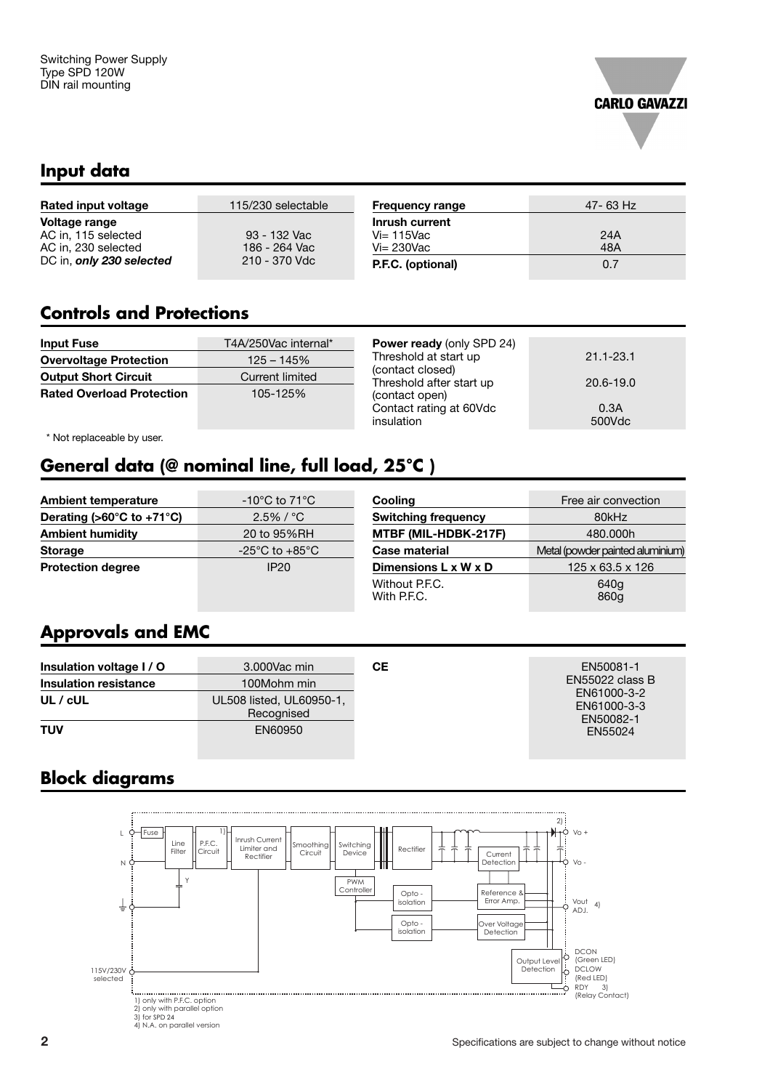

#### **Input data**

| 115/230 selectable | <b>Frequency range</b> | 47- 63 Hz |
|--------------------|------------------------|-----------|
|                    | Inrush current         |           |
| 93 - 132 Vac       | $Vi=115$ Vac           | 24A       |
| 186 - 264 Vac      | $Vi = 230$ Vac         | 48A       |
| 210 - 370 Vdc      | P.F.C. (optional)      | 0.7       |
|                    |                        |           |

#### **Controls and Protections**

| <b>Input Fuse</b>                | T4A/250Vac internal*       | <b>Power ready (only SPD 24)</b>                                      |                |
|----------------------------------|----------------------------|-----------------------------------------------------------------------|----------------|
| <b>Overvoltage Protection</b>    | $125 - 145%$               | Threshold at start up<br>(contact closed)<br>Threshold after start up | $21.1 - 23.1$  |
| <b>Output Short Circuit</b>      | <b>Current limited</b>     |                                                                       | 20.6-19.0      |
| <b>Rated Overload Protection</b> | 105-125%<br>(contact open) |                                                                       |                |
|                                  |                            | Contact rating at 60Vdc<br>insulation                                 | 0.3A<br>500Vdc |

\* Not replaceable by user.

# **General data (@ nominal line, full load, 25°C )**

| <b>Ambient temperature</b>                      | $-10^{\circ}$ C to 71 $^{\circ}$ C | Cooling                          | Free air convection              |
|-------------------------------------------------|------------------------------------|----------------------------------|----------------------------------|
| Derating ( $>60^{\circ}$ C to +71 $^{\circ}$ C) | $2.5\%$ / $^{\circ}$ C             | <b>Switching frequency</b>       | 80kHz                            |
| <b>Ambient humidity</b>                         | 20 to 95%RH                        | MTBF (MIL-HDBK-217F)             | 480,000h                         |
| <b>Storage</b>                                  | $-25^{\circ}$ C to $+85^{\circ}$ C | Case material                    | Metal (powder painted aluminium) |
| <b>Protection degree</b>                        | IP20                               | Dimensions $L \times W \times D$ | $125 \times 63.5 \times 126$     |
|                                                 |                                    | Without P.F.C.<br>With P.F.C.    | 640g<br>860g                     |

### **Approvals and EMC**

| Insulation voltage I / O | 3.000Vac min                           | CЕ | EN50081-1                      |
|--------------------------|----------------------------------------|----|--------------------------------|
| Insulation resistance    | 100Mohm min                            |    | EN55022 class B<br>EN61000-3-2 |
| $UL$ / $cUL$             | UL508 listed, UL60950-1,<br>Recognised |    | EN61000-3-3<br>EN50082-1       |
| <b>TUV</b>               | EN60950                                |    | EN55024                        |

### **Block diagrams**